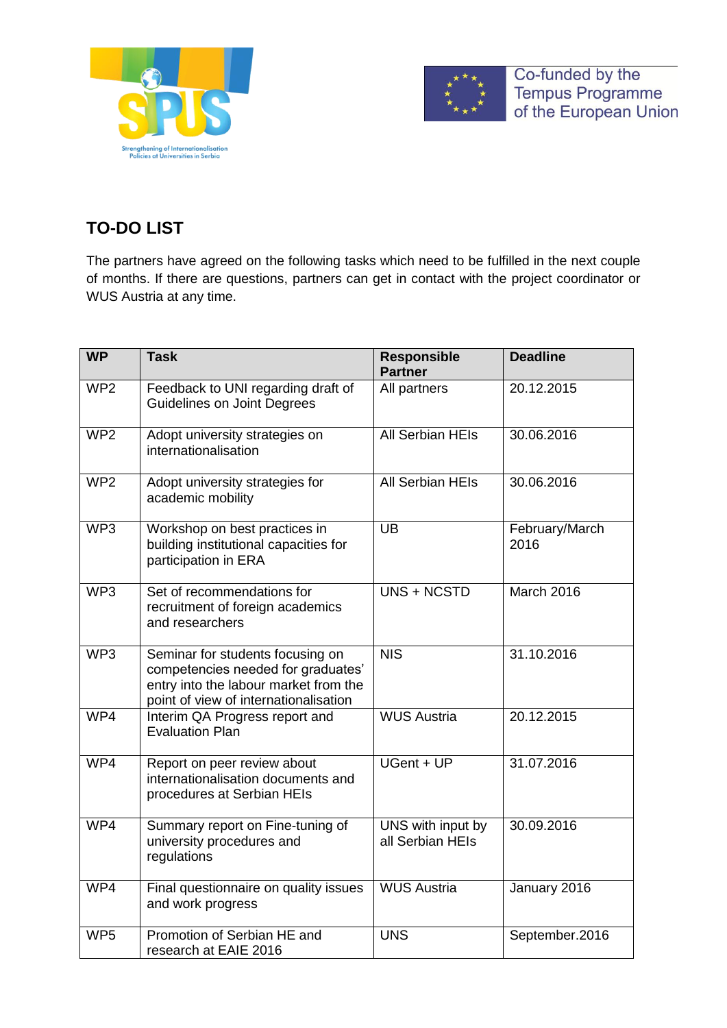



Co-funded by the Tempus Programme<br>of the European Union

## **TO-DO LIST**

The partners have agreed on the following tasks which need to be fulfilled in the next couple of months. If there are questions, partners can get in contact with the project coordinator or WUS Austria at any time.

| <b>WP</b>       | <b>Task</b>                                                                                                                                              | <b>Responsible</b><br><b>Partner</b>  | <b>Deadline</b>        |
|-----------------|----------------------------------------------------------------------------------------------------------------------------------------------------------|---------------------------------------|------------------------|
| WP <sub>2</sub> | Feedback to UNI regarding draft of<br><b>Guidelines on Joint Degrees</b>                                                                                 | All partners                          | 20.12.2015             |
| WP <sub>2</sub> | Adopt university strategies on<br>internationalisation                                                                                                   | <b>All Serbian HEIs</b>               | 30.06.2016             |
| WP <sub>2</sub> | Adopt university strategies for<br>academic mobility                                                                                                     | <b>All Serbian HEIs</b>               | 30.06.2016             |
| WP <sub>3</sub> | Workshop on best practices in<br>building institutional capacities for<br>participation in ERA                                                           | $\overline{\mathsf{UB}}$              | February/March<br>2016 |
| WP <sub>3</sub> | Set of recommendations for<br>recruitment of foreign academics<br>and researchers                                                                        | UNS + NCSTD                           | March 2016             |
| WP <sub>3</sub> | Seminar for students focusing on<br>competencies needed for graduates'<br>entry into the labour market from the<br>point of view of internationalisation | <b>NIS</b>                            | 31.10.2016             |
| WP4             | Interim QA Progress report and<br><b>Evaluation Plan</b>                                                                                                 | <b>WUS Austria</b>                    | 20.12.2015             |
| WP4             | Report on peer review about<br>internationalisation documents and<br>procedures at Serbian HEIs                                                          | UGent + UP                            | 31.07.2016             |
| WP4             | Summary report on Fine-tuning of<br>university procedures and<br>regulations                                                                             | UNS with input by<br>all Serbian HEIs | 30.09.2016             |
| WP4             | Final questionnaire on quality issues<br>and work progress                                                                                               | <b>WUS Austria</b>                    | January 2016           |
| WP <sub>5</sub> | Promotion of Serbian HE and<br>research at EAIE 2016                                                                                                     | <b>UNS</b>                            | September.2016         |